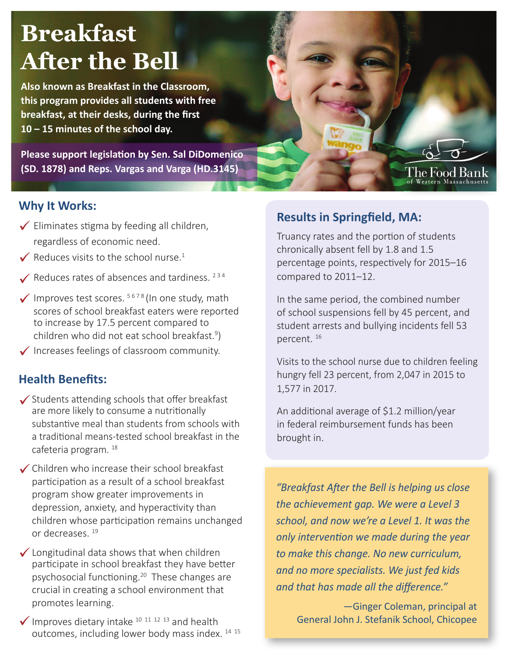# **Breakfast After the Bell**

**Also known as Breakfast in the Classroom, this program provides all students with free breakfast, at their desks, during the first 10 – 15 minutes of the school day.**

**Please support legislation by Sen. Sal DiDomenico (SD. 1878) and Reps. Vargas and Varga (HD.3145)**



#### **Why It Works:**

- $\checkmark$  Eliminates stigma by feeding all children, regardless of economic need.
- $\checkmark$  Reduces visits to the school nurse.<sup>1</sup>
- Reduces rates of absences and tardiness.  $2^{34}$
- $\checkmark$  Improves test scores.  $5678$  (In one study, math scores of school breakfast eaters were reported to increase by 17.5 percent compared to children who did not eat school breakfast.<sup>9</sup>)
- $\checkmark$  Increases feelings of classroom community.

#### **Health Benefits:**

- $\checkmark$  Students attending schools that offer breakfast are more likely to consume a nutritionally substantive meal than students from schools with a traditional means-tested school breakfast in the cafeteria program. <sup>18</sup>
- ◆ Children who increase their school breakfast participation as a result of a school breakfast program show greater improvements in depression, anxiety, and hyperactivity than children whose participation remains unchanged or decreases. <sup>19</sup>
- ◆ Longitudinal data shows that when children participate in school breakfast they have better psychosocial functioning.<sup>20</sup> These changes are crucial in creating a school environment that promotes learning.
- $\checkmark$  Improves dietary intake <sup>10 11 12 13</sup> and health outcomes, including lower body mass index.<sup>14 15</sup>

### **Results in Springfield, MA:**

Truancy rates and the portion of students chronically absent fell by 1.8 and 1.5 percentage points, respectively for 2015–16 compared to 2011–12.

In the same period, the combined number of school suspensions fell by 45 percent, and student arrests and bullying incidents fell 53 percent. 16

Visits to the school nurse due to children feeling hungry fell 23 percent, from 2,047 in 2015 to 1,577 in 2017.

An additional average of \$1.2 million/year in federal reimbursement funds has been brought in.

*"Breakfast After the Bell is helping us close the achievement gap. We were a Level 3 school, and now we're a Level 1. It was the only intervention we made during the year to make this change. No new curriculum, and no more specialists. We just fed kids and that has made all the difference."* 

> —Ginger Coleman, principal at General John J. Stefanik School, Chicopee